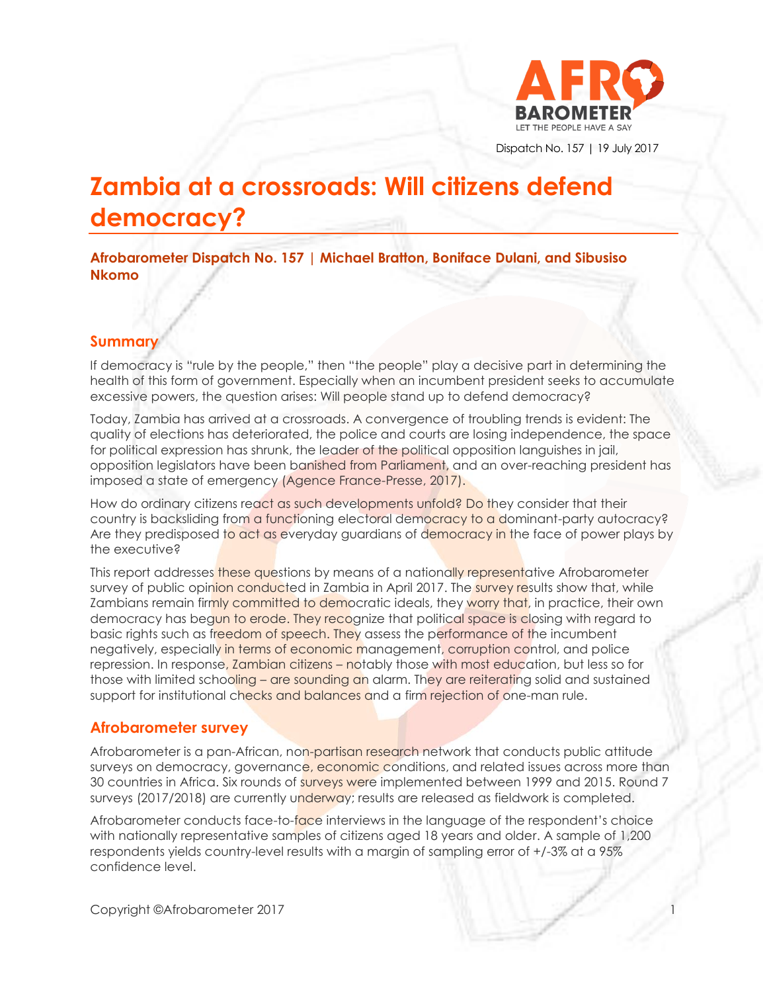

Dispatch No. 157 | 19 July 2017

# **Zambia at a crossroads: Will citizens defend democracy?**

**Afrobarometer Dispatch No. 157 | Michael Bratton, Boniface Dulani, and Sibusiso Nkomo**

# **Summary**

If democracy is "rule by the people," then "the people" play a decisive part in determining the health of this form of government. Especially when an incumbent president seeks to accumulate excessive powers, the question arises: Will people stand up to defend democracy?

Today, Zambia has arrived at a crossroads. A convergence of troubling trends is evident: The quality of elections has deteriorated, the police and courts are losing independence, the space for political expression has shrunk, the leader of the political opposition languishes in jail, opposition legislators have been banished from Parliament, and an over-reaching president has imposed a state of emergency (Agence France-Presse, 2017).

How do ordinary citizens react as such developments unfold? Do they consider that their country is backsliding from a functioning electoral democracy to a dominant-party autocracy? Are they predisposed to act as everyday guardians of democracy in the face of power plays by the executive?

This report addresses these questions by means of a nationally representative Afrobarometer survey of public opinion conducted in Zambia in April 2017. The survey results show that, while Zambians remain firmly committed to democratic ideals, they worry that, in practice, their own democracy has begun to erode. They recognize that political space is closing with regard to basic rights such as freedom of speech. They assess the performance of the incumbent negatively, especially in terms of economic management, corruption control, and police repression. In response, Zambian citizens – notably those with most education, but less so for those with limited schooling – are sounding an alarm. They are reiterating solid and sustained support for institutional checks and balances and a firm rejection of one-man rule.

# **Afrobarometer survey**

Afrobarometer is a pan-African, non-partisan research network that conducts public attitude surveys on democracy, governance, economic conditions, and related issues across more than 30 countries in Africa. Six rounds of surveys were implemented between 1999 and 2015. Round 7 surveys (2017/2018) are currently underway; results are released as fieldwork is completed.

Afrobarometer conducts face-to-face interviews in the language of the respondent's choice with nationally representative samples of citizens aged 18 years and older. A sample of 1,200 respondents yields country-level results with a margin of sampling error of +/-3% at a 95% confidence level.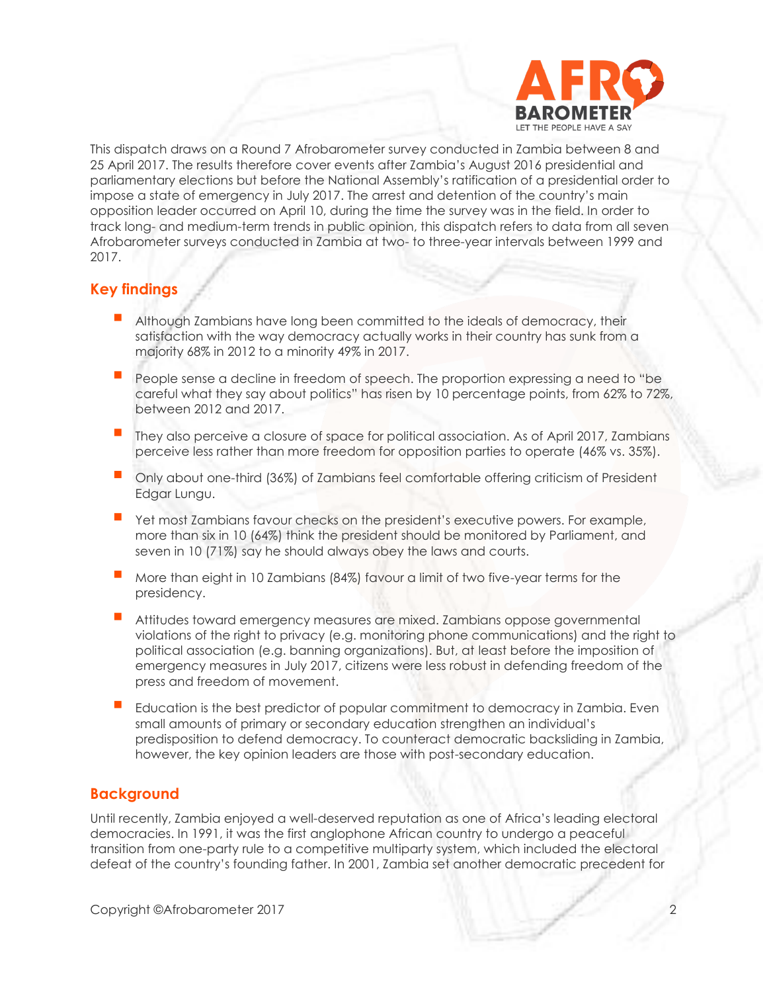

This dispatch draws on a Round 7 Afrobarometer survey conducted in Zambia between 8 and 25 April 2017. The results therefore cover events after Zambia's August 2016 presidential and parliamentary elections but before the National Assembly's ratification of a presidential order to impose a state of emergency in July 2017. The arrest and detention of the country's main opposition leader occurred on April 10, during the time the survey was in the field. In order to track long- and medium-term trends in public opinion, this dispatch refers to data from all seven Afrobarometer surveys conducted in Zambia at two- to three-year intervals between 1999 and 2017.

# **Key findings**

- **E** Although Zambians have long been committed to the ideals of democracy, their satisfaction with the way democracy actually works in their country has sunk from a majority 68% in 2012 to a minority 49% in 2017.
- **People sense a decline in freedom of speech. The proportion expressing a need to "be** careful what they say about politics" has risen by 10 percentage points, from 62% to 72%, between 2012 and 2017.
- They also perceive a closure of space for political association. As of April 2017, Zambians perceive less rather than more freedom for opposition parties to operate (46% vs. 35%).
- Only about one-third (36%) of Zambians feel comfortable offering criticism of President Edgar Lungu.
- Yet most Zambians favour checks on the president's executive powers. For example, more than six in 10 (64%) think the president should be monitored by Parliament, and seven in 10 (71%) say he should always obey the laws and courts.
- More than eight in 10 Zambians (84%) favour a limit of two five-year terms for the presidency.
- Attitudes toward emergency measures are mixed. Zambians oppose governmental violations of the right to privacy (e.g. monitoring phone communications) and the right to political association (e.g. banning organizations). But, at least before the imposition of emergency measures in July 2017, citizens were less robust in defending freedom of the press and freedom of movement.
- Education is the best predictor of popular commitment to democracy in Zambia. Even small amounts of primary or secondary education strengthen an individual's predisposition to defend democracy. To counteract democratic backsliding in Zambia, however, the key opinion leaders are those with post-secondary education.

# **Background**

Until recently, Zambia enjoyed a well-deserved reputation as one of Africa's leading electoral democracies. In 1991, it was the first anglophone African country to undergo a peaceful transition from one-party rule to a competitive multiparty system, which included the electoral defeat of the country's founding father. In 2001, Zambia set another democratic precedent for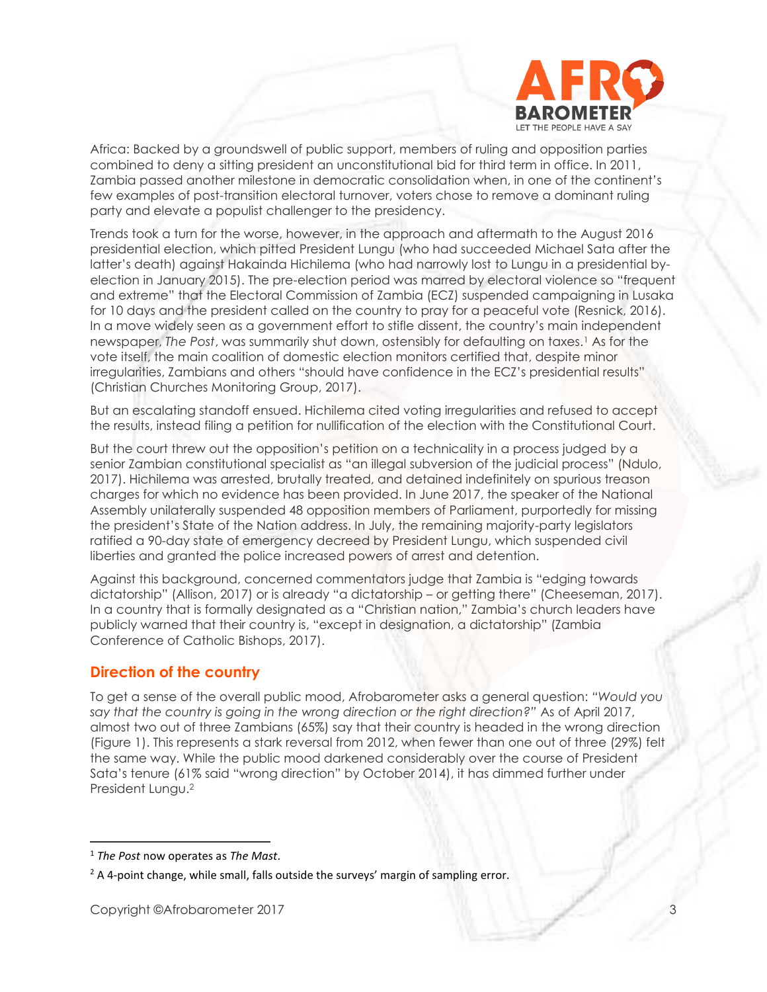

Africa: Backed by a groundswell of public support, members of ruling and opposition parties combined to deny a sitting president an unconstitutional bid for third term in office. In 2011, Zambia passed another milestone in democratic consolidation when, in one of the continent's few examples of post-transition electoral turnover, voters chose to remove a dominant ruling party and elevate a populist challenger to the presidency.

Trends took a turn for the worse, however, in the approach and aftermath to the August 2016 presidential election, which pitted President Lungu (who had succeeded Michael Sata after the latter's death) against Hakainda Hichilema (who had narrowly lost to Lungu in a presidential byelection in January 2015). The pre-election period was marred by electoral violence so "frequent and extreme" that the Electoral Commission of Zambia (ECZ) suspended campaigning in Lusaka for 10 days and the president called on the country to pray for a peaceful vote (Resnick, 2016). In a move widely seen as a government effort to stifle dissent, the country's main independent newspaper, *The Post*, was summarily shut down, ostensibly for defaulting on taxes.<sup>1</sup> As for the vote itself, the main coalition of domestic election monitors certified that, despite minor irregularities, Zambians and others "should have confidence in the ECZ's presidential results" (Christian Churches Monitoring Group, 2017).

But an escalating standoff ensued. Hichilema cited voting irregularities and refused to accept the results, instead filing a petition for nullification of the election with the Constitutional Court.

But the court threw out the opposition's petition on a technicality in a process judged by a senior Zambian constitutional specialist as "an illegal subversion of the judicial process" (Ndulo, 2017). Hichilema was arrested, brutally treated, and detained indefinitely on spurious treason charges for which no evidence has been provided. In June 2017, the speaker of the National Assembly unilaterally suspended 48 opposition members of Parliament, purportedly for missing the president's State of the Nation address. In July, the remaining majority-party legislators ratified a 90-day state of emergency decreed by President Lungu, which suspended civil liberties and granted the police increased powers of arrest and detention.

Against this background, concerned commentators judge that Zambia is "edging towards dictatorship" (Allison, 2017) or is already "a dictatorship – or getting there" (Cheeseman, 2017). In a country that is formally designated as a "Christian nation," Zambia's church leaders have publicly warned that their country is, "except in designation, a dictatorship" (Zambia Conference of Catholic Bishops, 2017).

## **Direction of the country**

To get a sense of the overall public mood, Afrobarometer asks a general question: *"Would you say that the country is going in the wrong direction or the right direction?"* As of April 2017, almost two out of three Zambians (65%) say that their country is headed in the wrong direction (Figure 1). This represents a stark reversal from 2012, when fewer than one out of three (29%) felt the same way. While the public mood darkened considerably over the course of President Sata's tenure (61% said "wrong direction" by October 2014), it has dimmed further under President Lungu.<sup>2</sup>

<sup>1</sup> *The Post* now operates as *The Mast*.

<sup>&</sup>lt;sup>2</sup> A 4-point change, while small, falls outside the surveys' margin of sampling error.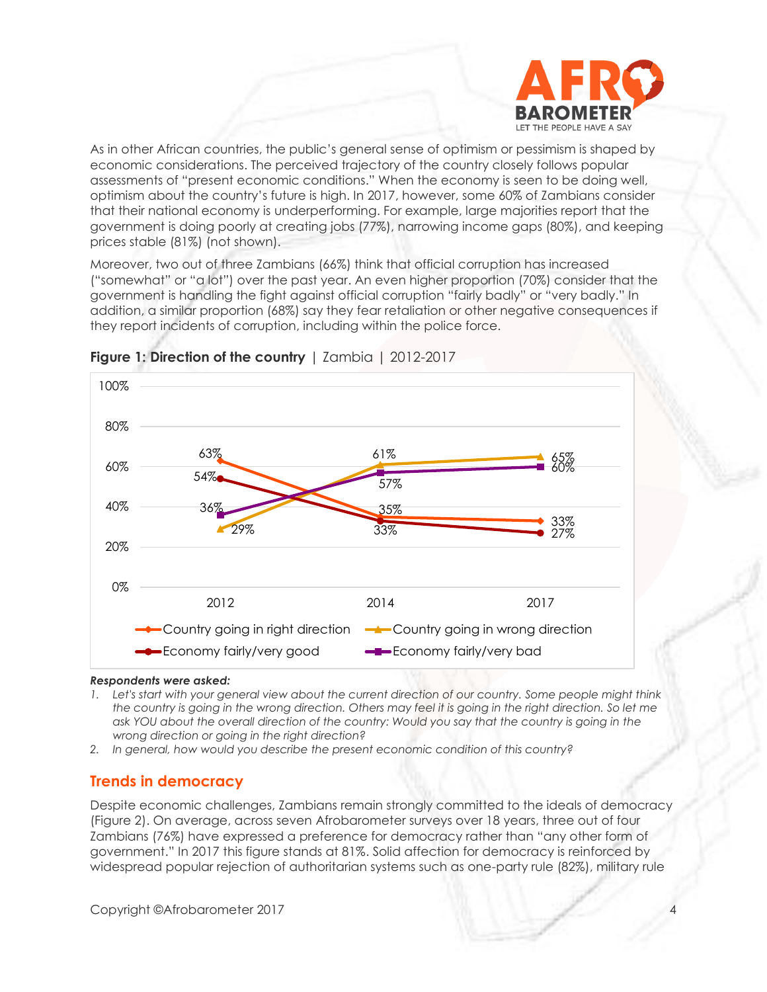

As in other African countries, the public's general sense of optimism or pessimism is shaped by economic considerations. The perceived trajectory of the country closely follows popular assessments of "present economic conditions." When the economy is seen to be doing well, optimism about the country's future is high. In 2017, however, some 60% of Zambians consider that their national economy is underperforming. For example, large majorities report that the government is doing poorly at creating jobs (77%), narrowing income gaps (80%), and keeping prices stable (81%) (not shown).

Moreover, two out of three Zambians (66%) think that official corruption has increased ("somewhat" or "a lot") over the past year. An even higher proportion (70%) consider that the government is handling the fight against official corruption "fairly badly" or "very badly." In addition, a similar proportion (68%) say they fear retaliation or other negative consequences if they report incidents of corruption, including within the police force.



# **Figure 1: Direction of the country** | Zambia | 2012-2017

### *Respondents were asked:*

- *1. Let's start with your general view about the current direction of our country. Some people might think the country is going in the wrong direction. Others may feel it is going in the right direction. So let me*  ask YOU about the overall direction of the country: Would you say that the country is going in the *wrong direction or going in the right direction?*
- *2. In general, how would you describe the present economic condition of this country?*

# **Trends in democracy**

Despite economic challenges, Zambians remain strongly committed to the ideals of democracy (Figure 2). On average, across seven Afrobarometer surveys over 18 years, three out of four Zambians (76%) have expressed a preference for democracy rather than "any other form of government." In 2017 this figure stands at 81%. Solid affection for democracy is reinforced by widespread popular rejection of authoritarian systems such as one-party rule (82%), military rule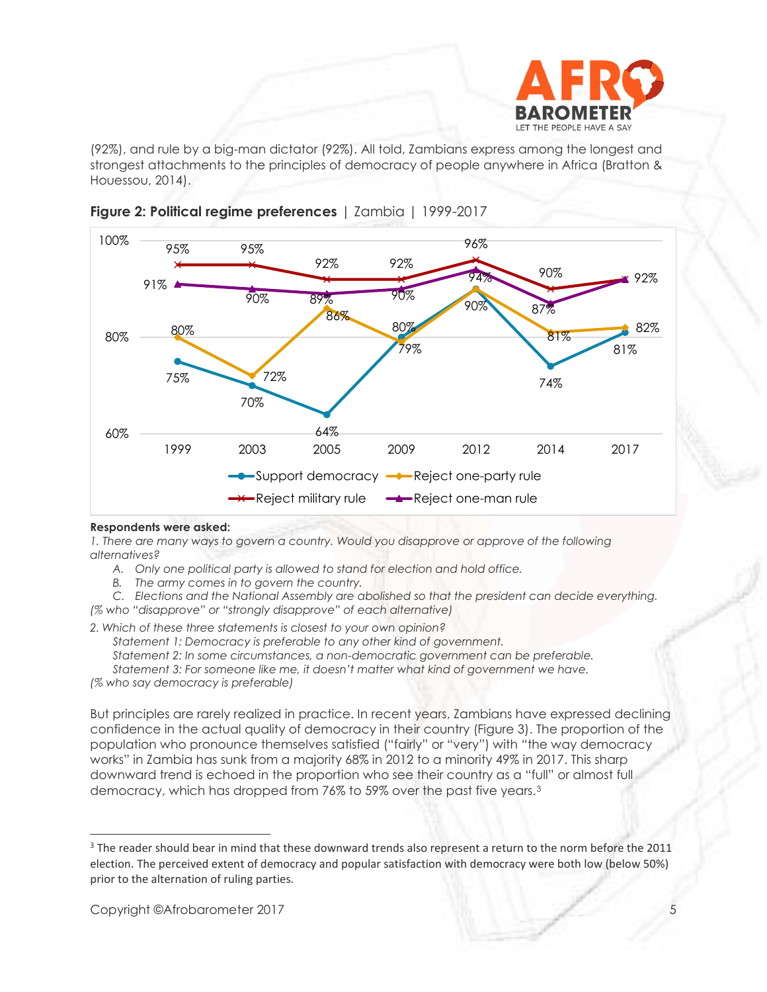

(92%), and rule by a big-man dictator (92%). All told, Zambians express among the longest and strongest attachments to the principles of democracy of people anywhere in Africa (Bratton & Houessou, 2014).





### **Respondents were asked:**

*1. There are many ways to govern a country. Would you disapprove or approve of the following alternatives?*

- *A. Only one political party is allowed to stand for election and hold office.*
- *B. The army comes in to govern the country.*

*C. Elections and the National Assembly are abolished so that the president can decide everything.*

*(% who "disapprove" or "strongly disapprove" of each alternative)*

*2. Which of these three statements is closest to your own opinion?* 

*Statement 1: Democracy is preferable to any other kind of government.*

*Statement 2: In some circumstances, a non-democratic government can be preferable.*

*Statement 3: For someone like me, it doesn't matter what kind of government we have. (% who say democracy is preferable)*

But principles are rarely realized in practice. In recent years, Zambians have expressed declining confidence in the actual quality of democracy in their country (Figure 3). The proportion of the population who pronounce themselves satisfied ("fairly" or "very") with "the way democracy works" in Zambia has sunk from a majority 68% in 2012 to a minority 49% in 2017. This sharp downward trend is echoed in the proportion who see their country as a "full" or almost full democracy, which has dropped from 76% to 59% over the past five years.<sup>3</sup>

<sup>&</sup>lt;sup>3</sup> The reader should bear in mind that these downward trends also represent a return to the norm before the 2011 election. The perceived extent of democracy and popular satisfaction with democracy were both low (below 50%) prior to the alternation of ruling parties.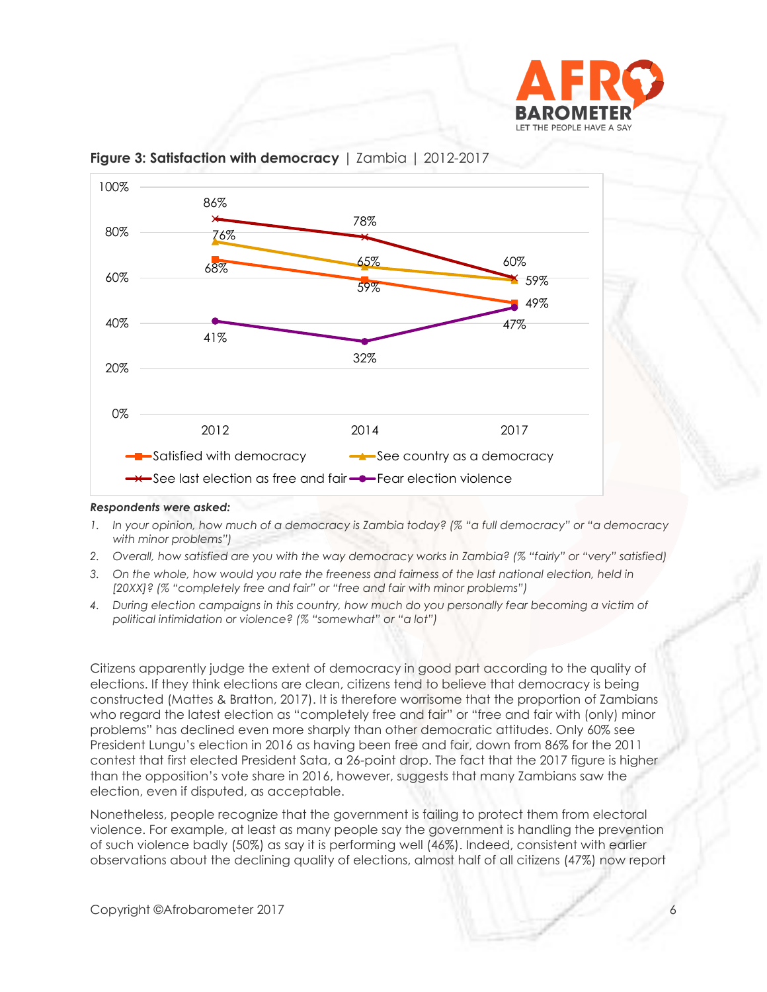



**Figure 3: Satisfaction with democracy** | Zambia | 2012-2017

### *Respondents were asked:*

- *1. In your opinion, how much of a democracy is Zambia today? (% "a full democracy" or "a democracy with minor problems")*
- *2. Overall, how satisfied are you with the way democracy works in Zambia? (% "fairly" or "very" satisfied)*
- *3. On the whole, how would you rate the freeness and fairness of the last national election, held in [20XX]? (% "completely free and fair" or "free and fair with minor problems")*
- *4. During election campaigns in this country, how much do you personally fear becoming a victim of political intimidation or violence? (% "somewhat" or "a lot")*

Citizens apparently judge the extent of democracy in good part according to the quality of elections. If they think elections are clean, citizens tend to believe that democracy is being constructed (Mattes & Bratton, 2017). It is therefore worrisome that the proportion of Zambians who regard the latest election as "completely free and fair" or "free and fair with (only) minor problems" has declined even more sharply than other democratic attitudes. Only 60% see President Lungu's election in 2016 as having been free and fair, down from 86% for the 2011 contest that first elected President Sata, a 26-point drop. The fact that the 2017 figure is higher than the opposition's vote share in 2016, however, suggests that many Zambians saw the election, even if disputed, as acceptable.

Nonetheless, people recognize that the government is failing to protect them from electoral violence. For example, at least as many people say the government is handling the prevention of such violence badly (50%) as say it is performing well (46%). Indeed, consistent with earlier observations about the declining quality of elections, almost half of all citizens (47%) now report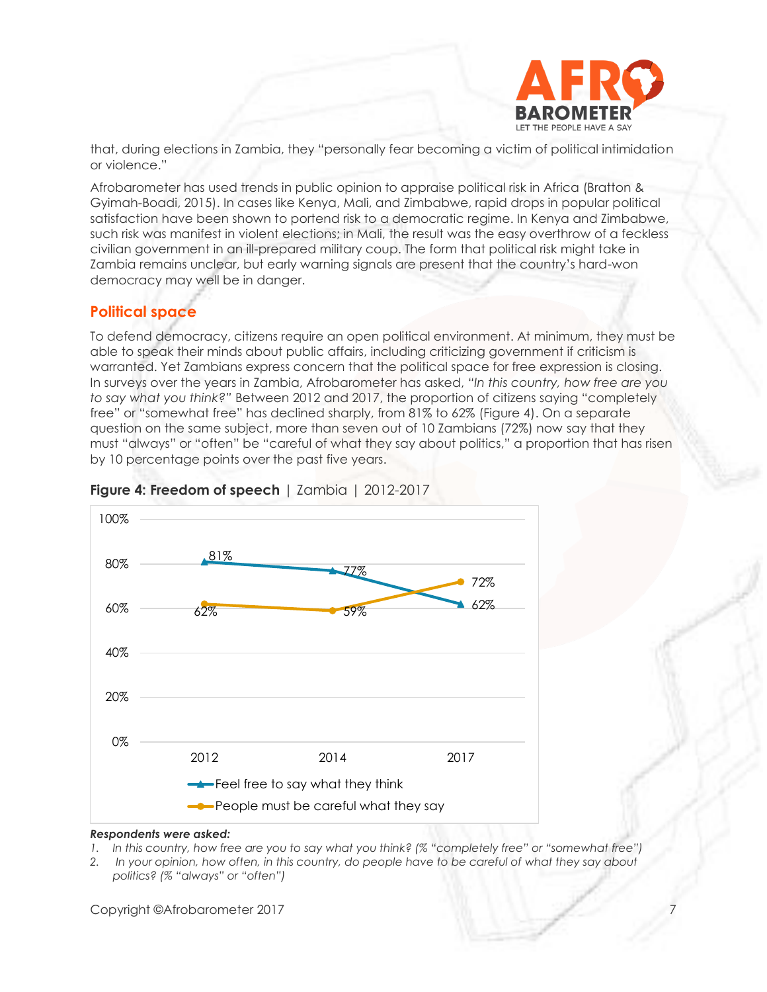

that, during elections in Zambia, they "personally fear becoming a victim of political intimidation or violence."

Afrobarometer has used trends in public opinion to appraise political risk in Africa (Bratton & Gyimah-Boadi, 2015). In cases like Kenya, Mali, and Zimbabwe, rapid drops in popular political satisfaction have been shown to portend risk to a democratic regime. In Kenya and Zimbabwe, such risk was manifest in violent elections; in Mali, the result was the easy overthrow of a feckless civilian government in an ill-prepared military coup. The form that political risk might take in Zambia remains unclear, but early warning signals are present that the country's hard-won democracy may well be in danger.

# **Political space**

To defend democracy, citizens require an open political environment. At minimum, they must be able to speak their minds about public affairs, including criticizing government if criticism is warranted. Yet Zambians express concern that the political space for free expression is closing. In surveys over the years in Zambia, Afrobarometer has asked, *"In this country, how free are you to say what you think?"* Between 2012 and 2017, the proportion of citizens saying "completely free" or "somewhat free" has declined sharply, from 81% to 62% (Figure 4). On a separate question on the same subject, more than seven out of 10 Zambians (72%) now say that they must "always" or "often" be "careful of what they say about politics," a proportion that has risen by 10 percentage points over the past five years.



# **Figure 4: Freedom of speech** | Zambia | 2012-2017

### *Respondents were asked:*

- *1. In this country, how free are you to say what you think? (% "completely free" or "somewhat free")*
- *2. In your opinion, how often, in this country, do people have to be careful of what they say about politics? (% "always" or "often")*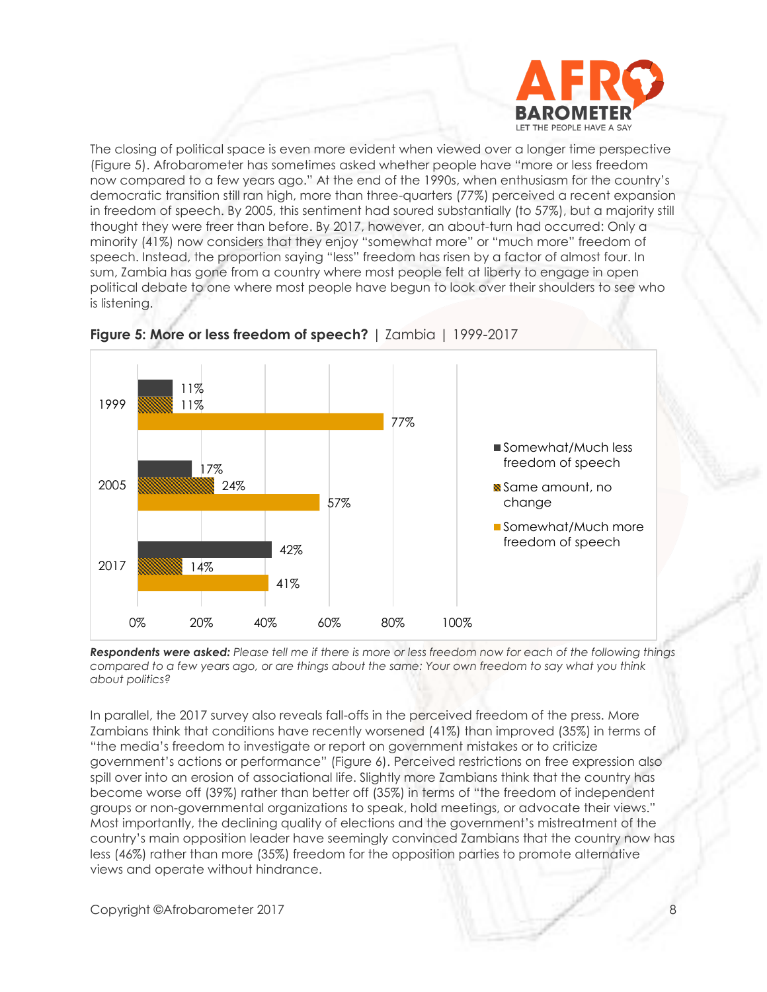

The closing of political space is even more evident when viewed over a longer time perspective (Figure 5). Afrobarometer has sometimes asked whether people have "more or less freedom now compared to a few years ago." At the end of the 1990s, when enthusiasm for the country's democratic transition still ran high, more than three-quarters (77%) perceived a recent expansion in freedom of speech. By 2005, this sentiment had soured substantially (to 57%), but a majority still thought they were freer than before. By 2017, however, an about-turn had occurred: Only a minority (41%) now considers that they enjoy "somewhat more" or "much more" freedom of speech. Instead, the proportion saying "less" freedom has risen by a factor of almost four. In sum, Zambia has gone from a country where most people felt at liberty to engage in open political debate to one where most people have begun to look over their shoulders to see who is listening.



# **Figure 5: More or less freedom of speech?** | Zambia | 1999-2017

*Respondents were asked: Please tell me if there is more or less freedom now for each of the following things compared to a few years ago, or are things about the same: Your own freedom to say what you think about politics?*

In parallel, the 2017 survey also reveals fall-offs in the perceived freedom of the press. More Zambians think that conditions have recently worsened (41%) than improved (35%) in terms of "the media's freedom to investigate or report on government mistakes or to criticize government's actions or performance" (Figure 6). Perceived restrictions on free expression also spill over into an erosion of associational life. Slightly more Zambians think that the country has become worse off (39%) rather than better off (35%) in terms of "the freedom of independent groups or non-governmental organizations to speak, hold meetings, or advocate their views." Most importantly, the declining quality of elections and the government's mistreatment of the country's main opposition leader have seemingly convinced Zambians that the country now has less (46%) rather than more (35%) freedom for the opposition parties to promote alternative views and operate without hindrance.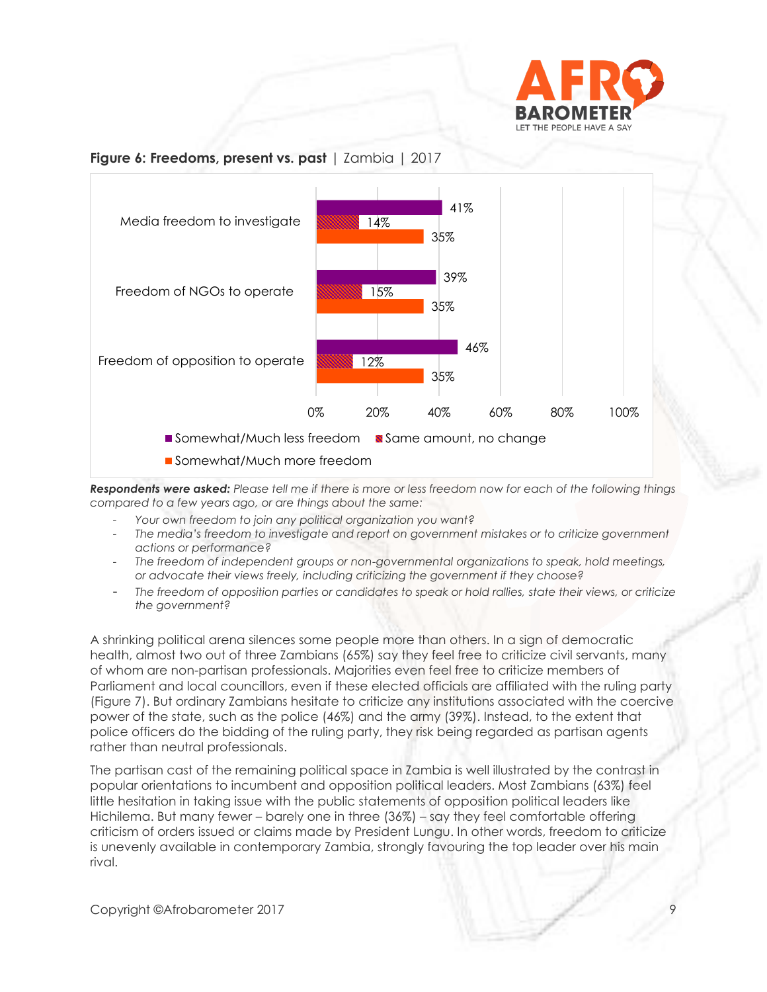

## **Figure 6: Freedoms, present vs. past** | Zambia | 2017



*Respondents were asked: Please tell me if there is more or less freedom now for each of the following things compared to a few years ago, or are things about the same:* 

- *Your own freedom to join any political organization you want?*
- *The media's freedom to investigate and report on government mistakes or to criticize government actions or performance?*
- *The freedom of independent groups or non-governmental organizations to speak, hold meetings, or advocate their views freely, including criticizing the government if they choose?*
- *The freedom of opposition parties or candidates to speak or hold rallies, state their views, or criticize the government?*

A shrinking political arena silences some people more than others. In a sign of democratic health, almost two out of three Zambians (65%) say they feel free to criticize civil servants, many of whom are non-partisan professionals. Majorities even feel free to criticize members of Parliament and local councillors, even if these elected officials are affiliated with the ruling party (Figure 7). But ordinary Zambians hesitate to criticize any institutions associated with the coercive power of the state, such as the police (46%) and the army (39%). Instead, to the extent that police officers do the bidding of the ruling party, they risk being regarded as partisan agents rather than neutral professionals.

The partisan cast of the remaining political space in Zambia is well illustrated by the contrast in popular orientations to incumbent and opposition political leaders. Most Zambians (63%) feel little hesitation in taking issue with the public statements of opposition political leaders like Hichilema. But many fewer – barely one in three (36%) – say they feel comfortable offering criticism of orders issued or claims made by President Lungu. In other words, freedom to criticize is unevenly available in contemporary Zambia, strongly favouring the top leader over his main rival.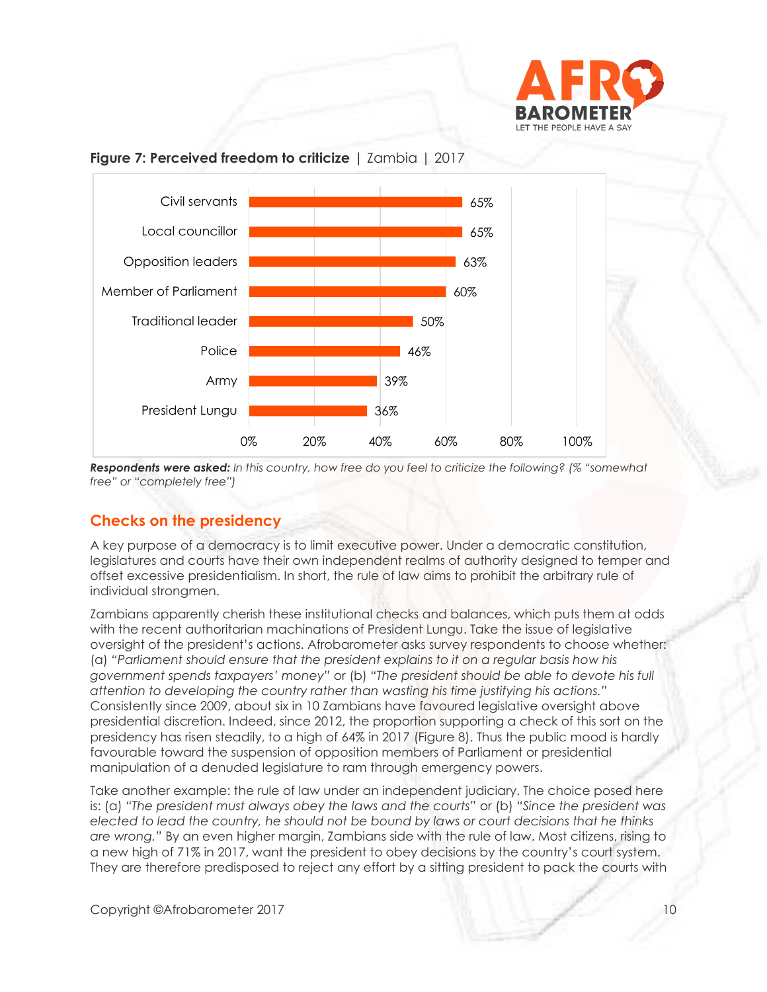



# **Figure 7: Perceived freedom to criticize** | Zambia | 2017

*Respondents were asked: In this country, how free do you feel to criticize the following? (% "somewhat free" or "completely free")*

# **Checks on the presidency**

A key purpose of a democracy is to limit executive power. Under a democratic constitution, legislatures and courts have their own independent realms of authority designed to temper and offset excessive presidentialism. In short, the rule of law aims to prohibit the arbitrary rule of individual strongmen.

Zambians apparently cherish these institutional checks and balances, which puts them at odds with the recent authoritarian machinations of President Lungu. Take the issue of legislative oversight of the president's actions. Afrobarometer asks survey respondents to choose whether: (a) *"Parliament should ensure that the president explains to it on a regular basis how his government spends taxpayers' money"* or (b) *"The president should be able to devote his full attention to developing the country rather than wasting his time justifying his actions."* Consistently since 2009, about six in 10 Zambians have favoured legislative oversight above presidential discretion. Indeed, since 2012, the proportion supporting a check of this sort on the presidency has risen steadily, to a high of 64% in 2017 (Figure 8). Thus the public mood is hardly favourable toward the suspension of opposition members of Parliament or presidential manipulation of a denuded legislature to ram through emergency powers.

Take another example: the rule of law under an independent judiciary. The choice posed here is: (a) *"The president must always obey the laws and the courts"* or (b) *"Since the president was elected to lead the country, he should not be bound by laws or court decisions that he thinks are wrong."* By an even higher margin, Zambians side with the rule of law. Most citizens, rising to a new high of 71% in 2017, want the president to obey decisions by the country's court system. They are therefore predisposed to reject any effort by a sitting president to pack the courts with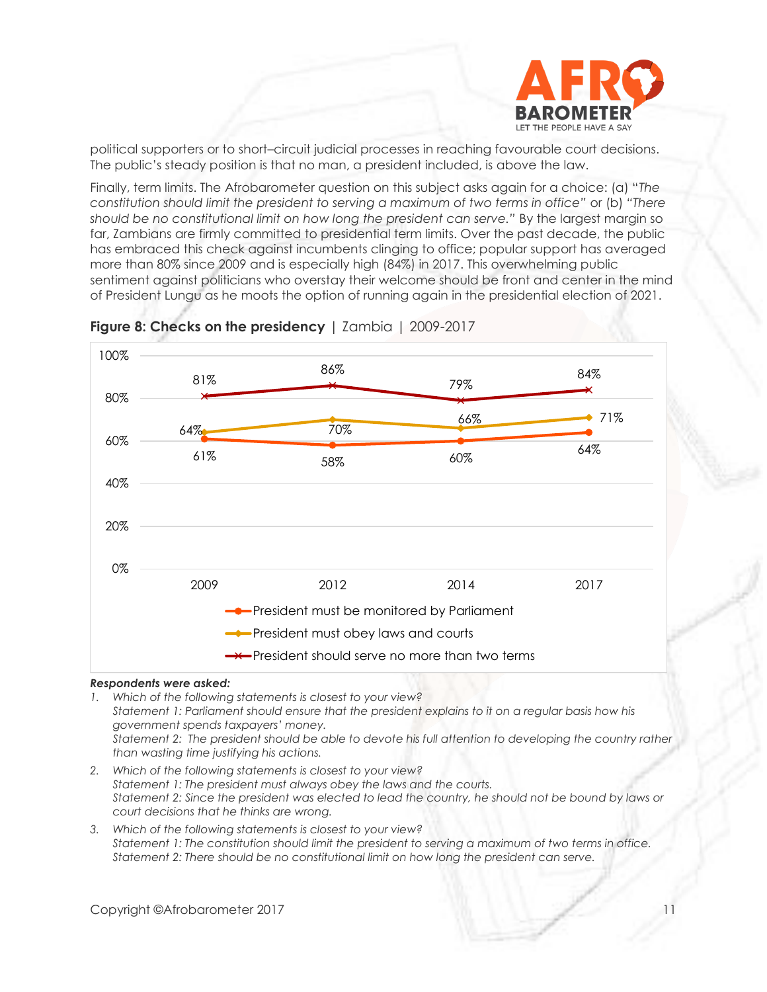

political supporters or to short–circuit judicial processes in reaching favourable court decisions. The public's steady position is that no man, a president included, is above the law.

Finally, term limits. The Afrobarometer question on this subject asks again for a choice: (a) "*The constitution should limit the president to serving a maximum of two terms in office"* or (b) *"There should be no constitutional limit on how long the president can serve."* By the largest margin so far, Zambians are firmly committed to presidential term limits. Over the past decade, the public has embraced this check against incumbents clinging to office; popular support has averaged more than 80% since 2009 and is especially high (84%) in 2017. This overwhelming public sentiment against politicians who overstay their welcome should be front and center in the mind of President Lungu as he moots the option of running again in the presidential election of 2021.





### *Respondents were asked:*

*1. Which of the following statements is closest to your view? Statement 1: Parliament should ensure that the president explains to it on a regular basis how his government spends taxpayers' money. Statement 2: The president should be able to devote his full attention to developing the country rather than wasting time justifying his actions.*

- *2. Which of the following statements is closest to your view? Statement 1: The president must always obey the laws and the courts. Statement 2: Since the president was elected to lead the country, he should not be bound by laws or court decisions that he thinks are wrong.*
- *3. Which of the following statements is closest to your view? Statement 1: The constitution should limit the president to serving a maximum of two terms in office. Statement 2: There should be no constitutional limit on how long the president can serve.*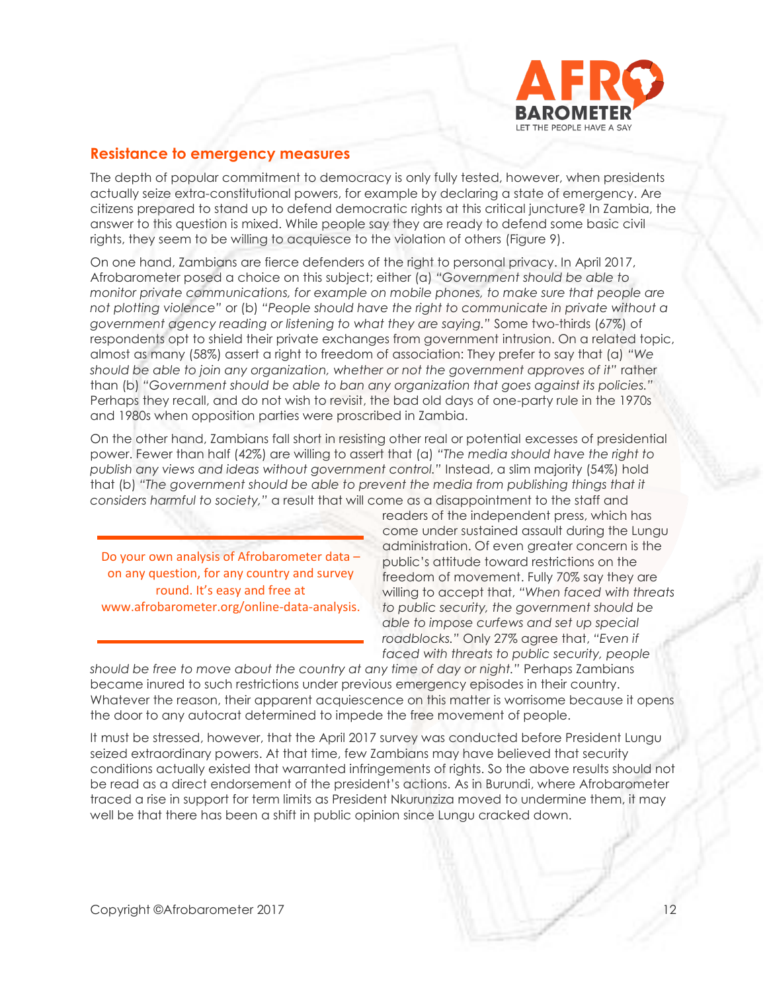

# **Resistance to emergency measures**

The depth of popular commitment to democracy is only fully tested, however, when presidents actually seize extra-constitutional powers, for example by declaring a state of emergency. Are citizens prepared to stand up to defend democratic rights at this critical juncture? In Zambia, the answer to this question is mixed. While people say they are ready to defend some basic civil rights, they seem to be willing to acquiesce to the violation of others (Figure 9).

On one hand, Zambians are fierce defenders of the right to personal privacy. In April 2017, Afrobarometer posed a choice on this subject; either (a) *"Government should be able to monitor private communications, for example on mobile phones, to make sure that people are not plotting violence"* or (b) *"People should have the right to communicate in private without a government agency reading or listening to what they are saying."* Some two-thirds (67%) of respondents opt to shield their private exchanges from government intrusion. On a related topic, almost as many (58%) assert a right to freedom of association: They prefer to say that (a) *"We should be able to join any organization, whether or not the government approves of it"* rather than (b) *"Government should be able to ban any organization that goes against its policies."* Perhaps they recall, and do not wish to revisit, the bad old days of one-party rule in the 1970s and 1980s when opposition parties were proscribed in Zambia.

On the other hand, Zambians fall short in resisting other real or potential excesses of presidential power. Fewer than half (42%) are willing to assert that (a) *"The media should have the right to publish any views and ideas without government control."* Instead, a slim majority (54%) hold that (b) *"The government should be able to prevent the media from publishing things that it considers harmful to society,"* a result that will come as a disappointment to the staff and

Do your own analysis of Afrobarometer data – on any question, for any country and survey round. It's easy and free at www.afrobarometer.org/online-data-analysis. readers of the independent press, which has come under sustained assault during the Lungu administration. Of even greater concern is the public's attitude toward restrictions on the freedom of movement. Fully 70% say they are willing to accept that, *"When faced with threats to public security, the government should be able to impose curfews and set up special roadblocks."* Only 27% agree that, *"Even if faced with threats to public security, people* 

*should be free to move about the country at any time of day or night."* Perhaps Zambians became inured to such restrictions under previous emergency episodes in their country. Whatever the reason, their apparent acquiescence on this matter is worrisome because it opens the door to any autocrat determined to impede the free movement of people.

It must be stressed, however, that the April 2017 survey was conducted before President Lungu seized extraordinary powers. At that time, few Zambians may have believed that security conditions actually existed that warranted infringements of rights. So the above results should not be read as a direct endorsement of the president's actions. As in Burundi, where Afrobarometer traced a rise in support for term limits as President Nkurunziza moved to undermine them, it may well be that there has been a shift in public opinion since Lungu cracked down.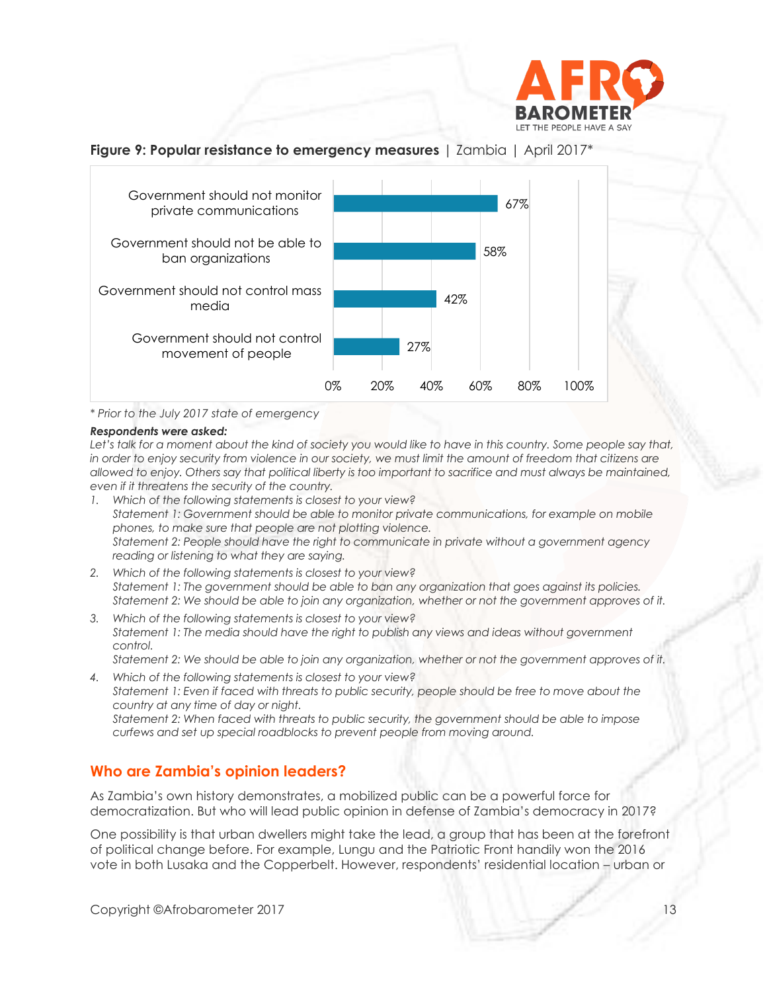

# **Figure 9: Popular resistance to emergency measures** | Zambia | April 2017\*



*\* Prior to the July 2017 state of emergency*

### *Respondents were asked:*

Let's talk for a moment about the kind of society you would like to have in this country. Some people say that, *in order to enjoy security from violence in our society, we must limit the amount of freedom that citizens are allowed to enjoy. Others say that political liberty is too important to sacrifice and must always be maintained, even if it threatens the security of the country.*

- *1. Which of the following statements is closest to your view? Statement 1: Government should be able to monitor private communications, for example on mobile phones, to make sure that people are not plotting violence. Statement 2: People should have the right to communicate in private without a government agency reading or listening to what they are saying.*
- *2. Which of the following statements is closest to your view? Statement 1: The government should be able to ban any organization that goes against its policies. Statement 2: We should be able to join any organization, whether or not the government approves of it.*
- *3. Which of the following statements is closest to your view? Statement 1: The media should have the right to publish any views and ideas without government control.*

*Statement 2: We should be able to join any organization, whether or not the government approves of it. 4. Which of the following statements is closest to your view?*

*Statement 1: Even if faced with threats to public security, people should be free to move about the country at any time of day or night.*

*Statement 2: When faced with threats to public security, the government should be able to impose curfews and set up special roadblocks to prevent people from moving around.*

# **Who are Zambia's opinion leaders?**

As Zambia's own history demonstrates, a mobilized public can be a powerful force for democratization. But who will lead public opinion in defense of Zambia's democracy in 2017?

One possibility is that urban dwellers might take the lead, a group that has been at the forefront of political change before. For example, Lungu and the Patriotic Front handily won the 2016 vote in both Lusaka and the Copperbelt. However, respondents' residential location – urban or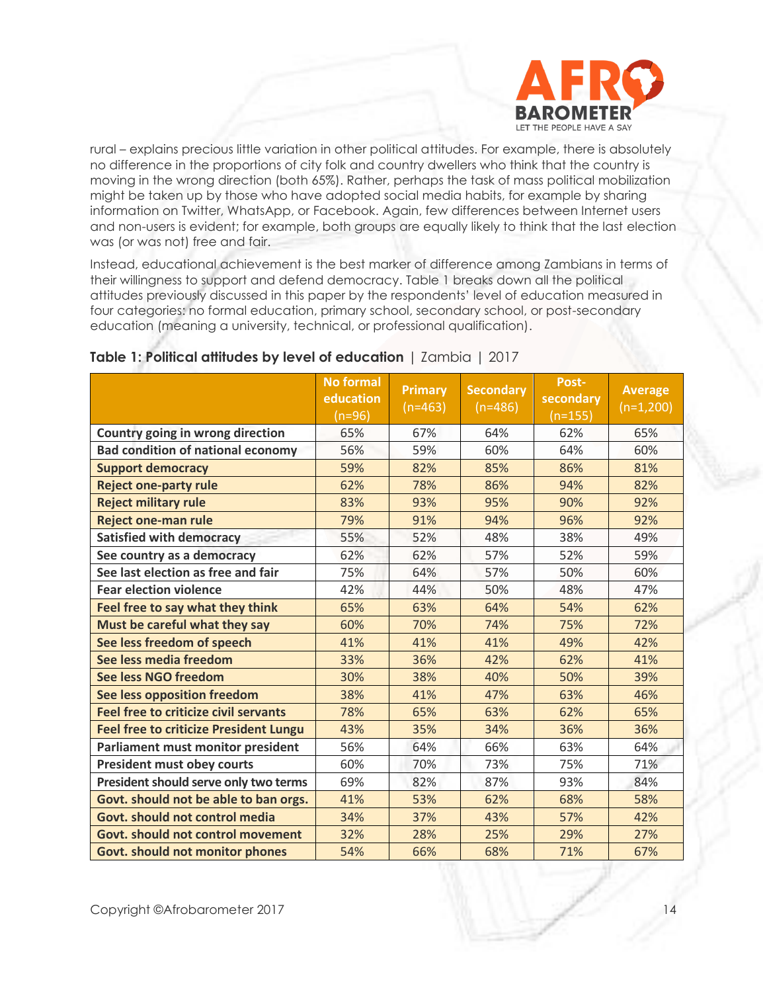

rural – explains precious little variation in other political attitudes. For example, there is absolutely no difference in the proportions of city folk and country dwellers who think that the country is moving in the wrong direction (both 65%). Rather, perhaps the task of mass political mobilization might be taken up by those who have adopted social media habits, for example by sharing information on Twitter, WhatsApp, or Facebook. Again, few differences between Internet users and non-users is evident; for example, both groups are equally likely to think that the last election was (or was not) free and fair.

Instead, educational achievement is the best marker of difference among Zambians in terms of their willingness to support and defend democracy. Table 1 breaks down all the political attitudes previously discussed in this paper by the respondents' level of education measured in four categories: no formal education, primary school, secondary school, or post-secondary education (meaning a university, technical, or professional qualification).

|                                               | <b>No formal</b><br>education<br>$(n=96)$ | <b>Primary</b><br>$(n=463)$ | <b>Secondary</b><br>$(n=486)$ | Post-<br>secondary<br>$(n=155)$ | <b>Average</b><br>$(n=1,200)$ |
|-----------------------------------------------|-------------------------------------------|-----------------------------|-------------------------------|---------------------------------|-------------------------------|
| Country going in wrong direction              | 65%                                       | 67%                         | 64%                           | 62%                             | 65%                           |
| <b>Bad condition of national economy</b>      | 56%                                       | 59%                         | 60%                           | 64%                             | 60%                           |
| <b>Support democracy</b>                      | 59%                                       | 82%                         | 85%                           | 86%                             | 81%                           |
| <b>Reject one-party rule</b>                  | 62%                                       | 78%                         | 86%                           | 94%                             | 82%                           |
| <b>Reject military rule</b>                   | 83%                                       | 93%                         | 95%                           | 90%                             | 92%                           |
| <b>Reject one-man rule</b>                    | 79%                                       | 91%                         | 94%                           | 96%                             | 92%                           |
| <b>Satisfied with democracy</b>               | 55%                                       | 52%                         | 48%                           | 38%                             | 49%                           |
| See country as a democracy                    | 62%                                       | 62%                         | 57%                           | 52%                             | 59%                           |
| See last election as free and fair            | 75%                                       | 64%                         | 57%                           | 50%                             | 60%                           |
| <b>Fear election violence</b>                 | 42%                                       | 44%                         | 50%                           | 48%                             | 47%                           |
| Feel free to say what they think              | 65%                                       | 63%                         | 64%                           | 54%                             | 62%                           |
| Must be careful what they say                 | 60%                                       | 70%                         | 74%                           | 75%                             | 72%                           |
| See less freedom of speech                    | 41%                                       | 41%                         | 41%                           | 49%                             | 42%                           |
| See less media freedom                        | 33%                                       | 36%                         | 42%                           | 62%                             | 41%                           |
| See less NGO freedom                          | 30%                                       | 38%                         | 40%                           | 50%                             | 39%                           |
| See less opposition freedom                   | 38%                                       | 41%                         | 47%                           | 63%                             | 46%                           |
| <b>Feel free to criticize civil servants</b>  | 78%                                       | 65%                         | 63%                           | 62%                             | 65%                           |
| <b>Feel free to criticize President Lungu</b> | 43%                                       | 35%                         | 34%                           | 36%                             | 36%                           |
| Parliament must monitor president             | 56%                                       | 64%                         | 66%                           | 63%                             | 64%                           |
| <b>President must obey courts</b>             | 60%                                       | 70%                         | 73%                           | 75%                             | 71%                           |
| President should serve only two terms         | 69%                                       | 82%                         | 87%                           | 93%                             | 84%                           |
| Govt. should not be able to ban orgs.         | 41%                                       | 53%                         | 62%                           | 68%                             | 58%                           |
| Govt. should not control media                | 34%                                       | 37%                         | 43%                           | 57%                             | 42%                           |
| <b>Govt. should not control movement</b>      | 32%                                       | 28%                         | 25%                           | 29%                             | 27%                           |
| <b>Govt. should not monitor phones</b>        | 54%                                       | 66%                         | 68%                           | 71%                             | 67%                           |

# **Table 1: Political attitudes by level of education** | Zambia | 2017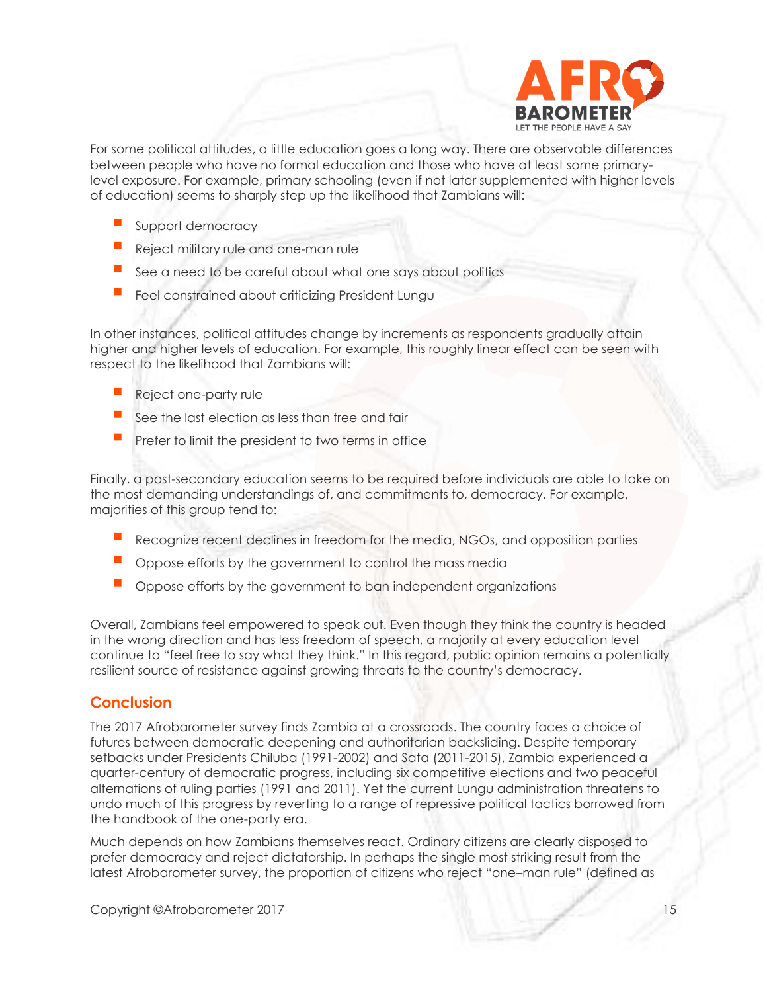

For some political attitudes, a little education goes a long way. There are observable differences between people who have no formal education and those who have at least some primarylevel exposure. For example, primary schooling (even if not later supplemented with higher levels of education) seems to sharply step up the likelihood that Zambians will:

- Support democracy
- Reject military rule and one-man rule
- See a need to be careful about what one says about politics
- Feel constrained about criticizing President Lungu

In other instances, political attitudes change by increments as respondents gradually attain higher and higher levels of education. For example, this roughly linear effect can be seen with respect to the likelihood that Zambians will:

- Reject one-party rule
- See the last election as less than free and fair
- Prefer to limit the president to two terms in office

Finally, a post-secondary education seems to be required before individuals are able to take on the most demanding understandings of, and commitments to, democracy. For example, majorities of this group tend to:

- Recognize recent declines in freedom for the media, NGOs, and opposition parties
- Oppose efforts by the government to control the mass media
- Oppose efforts by the government to ban independent organizations

Overall, Zambians feel empowered to speak out. Even though they think the country is headed in the wrong direction and has less freedom of speech, a majority at every education level continue to "feel free to say what they think." In this regard, public opinion remains a potentially resilient source of resistance against growing threats to the country's democracy.

# **Conclusion**

The 2017 Afrobarometer survey finds Zambia at a crossroads. The country faces a choice of futures between democratic deepening and authoritarian backsliding. Despite temporary setbacks under Presidents Chiluba (1991-2002) and Sata (2011-2015), Zambia experienced a quarter-century of democratic progress, including six competitive elections and two peaceful alternations of ruling parties (1991 and 2011). Yet the current Lungu administration threatens to undo much of this progress by reverting to a range of repressive political tactics borrowed from the handbook of the one-party era.

Much depends on how Zambians themselves react. Ordinary citizens are clearly disposed to prefer democracy and reject dictatorship. In perhaps the single most striking result from the latest Afrobarometer survey, the proportion of citizens who reject "one–man rule" (defined as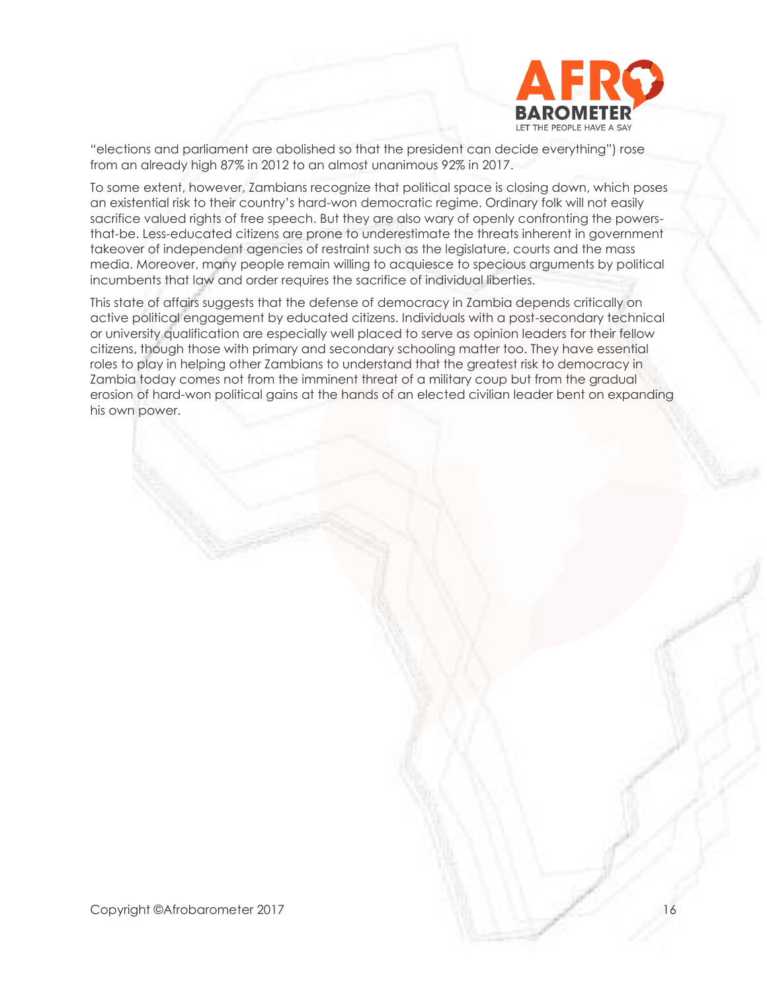

"elections and parliament are abolished so that the president can decide everything") rose from an already high 87% in 2012 to an almost unanimous 92% in 2017.

To some extent, however, Zambians recognize that political space is closing down, which poses an existential risk to their country's hard-won democratic regime. Ordinary folk will not easily sacrifice valued rights of free speech. But they are also wary of openly confronting the powersthat-be. Less-educated citizens are prone to underestimate the threats inherent in government takeover of independent agencies of restraint such as the legislature, courts and the mass media. Moreover, many people remain willing to acquiesce to specious arguments by political incumbents that law and order requires the sacrifice of individual liberties.

This state of affairs suggests that the defense of democracy in Zambia depends critically on active political engagement by educated citizens. Individuals with a post-secondary technical or university qualification are especially well placed to serve as opinion leaders for their fellow citizens, though those with primary and secondary schooling matter too. They have essential roles to play in helping other Zambians to understand that the greatest risk to democracy in Zambia today comes not from the imminent threat of a military coup but from the gradual erosion of hard-won political gains at the hands of an elected civilian leader bent on expanding his own power.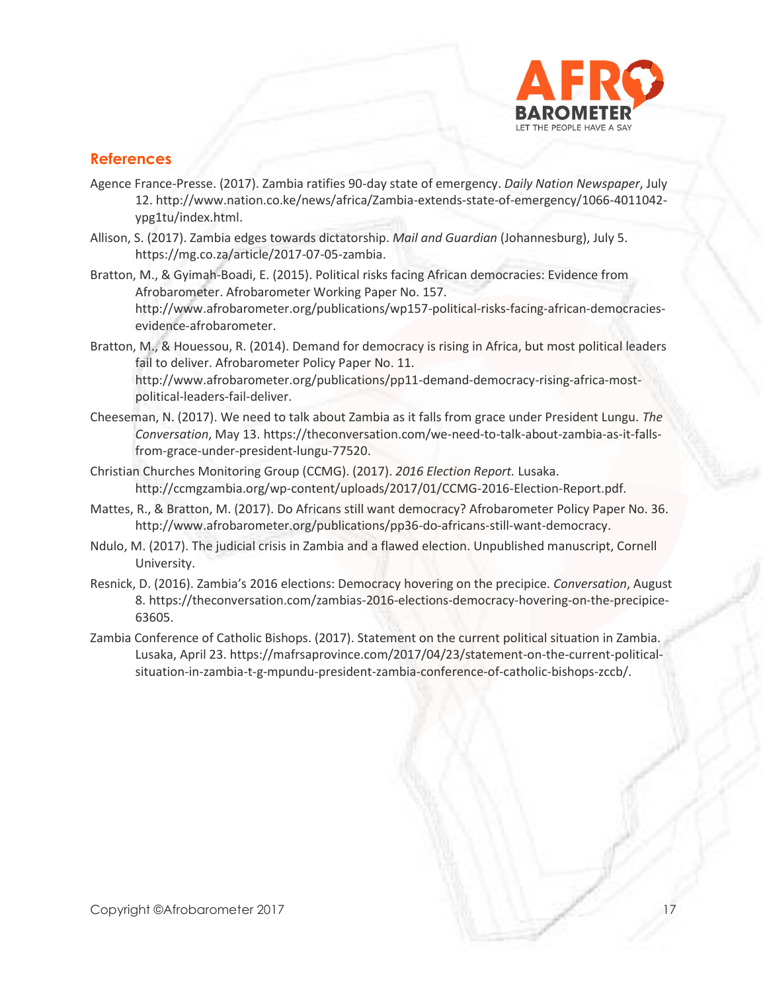

# **References**

- Agence France-Presse. (2017). Zambia ratifies 90-day state of emergency. *Daily Nation Newspaper*, July 12[. http://www.nation.co.ke/news/africa/Zambia-extends-state-of-emergency/1066-4011042](http://www.nation.co.ke/news/africa/Zambia-extends-state-of-emergency/1066-4011042-ypg1tu/index.html) [ypg1tu/index.html.](http://www.nation.co.ke/news/africa/Zambia-extends-state-of-emergency/1066-4011042-ypg1tu/index.html)
- Allison, S. (2017). Zambia edges towards dictatorship. *Mail and Guardian* (Johannesburg), July 5. [https://mg.co.za/article/2017-07-05-zambia.](https://mg.co.za/article/2017-07-05-zambia)
- Bratton, M., & Gyimah-Boadi, E. (2015). Political risks facing African democracies: Evidence from Afrobarometer. Afrobarometer Working Paper No. 157. [http://www.afrobarometer.org/publications/wp157-political-risks-facing-african-democracies](http://www.afrobarometer.org/publications/wp157-political-risks-facing-african-democracies-evidence-afrobarometer)[evidence-afrobarometer.](http://www.afrobarometer.org/publications/wp157-political-risks-facing-african-democracies-evidence-afrobarometer)
- Bratton, M., & Houessou, R. (2014). Demand for democracy is rising in Africa, but most political leaders fail to deliver. Afrobarometer Policy Paper No. 11. [http://www.afrobarometer.org/publications/pp11-demand-democracy-rising-africa-most](http://www.afrobarometer.org/publications/pp11-demand-democracy-rising-africa-most-political-leaders-fail-deliver)[political-leaders-fail-deliver.](http://www.afrobarometer.org/publications/pp11-demand-democracy-rising-africa-most-political-leaders-fail-deliver)
- Cheeseman, N. (2017). We need to talk about Zambia as it falls from grace under President Lungu. *The Conversation*, May 13. [https://theconversation.com/we-need-to-talk-about-zambia-as-it-falls](https://theconversation.com/we-need-to-talk-about-zambia-as-it-falls-from-grace-under-president-lungu-77520)[from-grace-under-president-lungu-77520.](https://theconversation.com/we-need-to-talk-about-zambia-as-it-falls-from-grace-under-president-lungu-77520)
- Christian Churches Monitoring Group (CCMG). (2017). *2016 Election Report.* Lusaka. [http://ccmgzambia.org/wp-content/uploads/2017/01/CCMG-2016-Election-Report.pdf.](http://ccmgzambia.org/wp-content/uploads/2017/01/CCMG-2016-Election-Report.pdf)
- Mattes, R., & Bratton, M. (2017). Do Africans still want democracy? Afrobarometer Policy Paper No. 36. [http://www.afrobarometer.org/publications/pp36-do-africans-still-want-democracy.](http://www.afrobarometer.org/publications/pp36-do-africans-still-want-democracy)
- Ndulo, M. (2017). The judicial crisis in Zambia and a flawed election. Unpublished manuscript, Cornell University.
- Resnick, D. (2016). Zambia's 2016 elections: Democracy hovering on the precipice. *Conversation*, August 8. [https://theconversation.com/zambias-2016-elections-democracy-hovering-on-the-precipice-](https://theconversation.com/zambias-2016-elections-democracy-hovering-on-the-precipice-63605)[63605.](https://theconversation.com/zambias-2016-elections-democracy-hovering-on-the-precipice-63605)
- Zambia Conference of Catholic Bishops. (2017). Statement on the current political situation in Zambia. Lusaka, April 23[. https://mafrsaprovince.com/2017/04/23/statement-on-the-current-political](https://mafrsaprovince.com/2017/04/23/statement-on-the-current-political-situation-in-zambia-t-g-mpundu-president-zambia-conference-of-catholic-bishops-zccb/)[situation-in-zambia-t-g-mpundu-president-zambia-conference-of-catholic-bishops-zccb/.](https://mafrsaprovince.com/2017/04/23/statement-on-the-current-political-situation-in-zambia-t-g-mpundu-president-zambia-conference-of-catholic-bishops-zccb/)